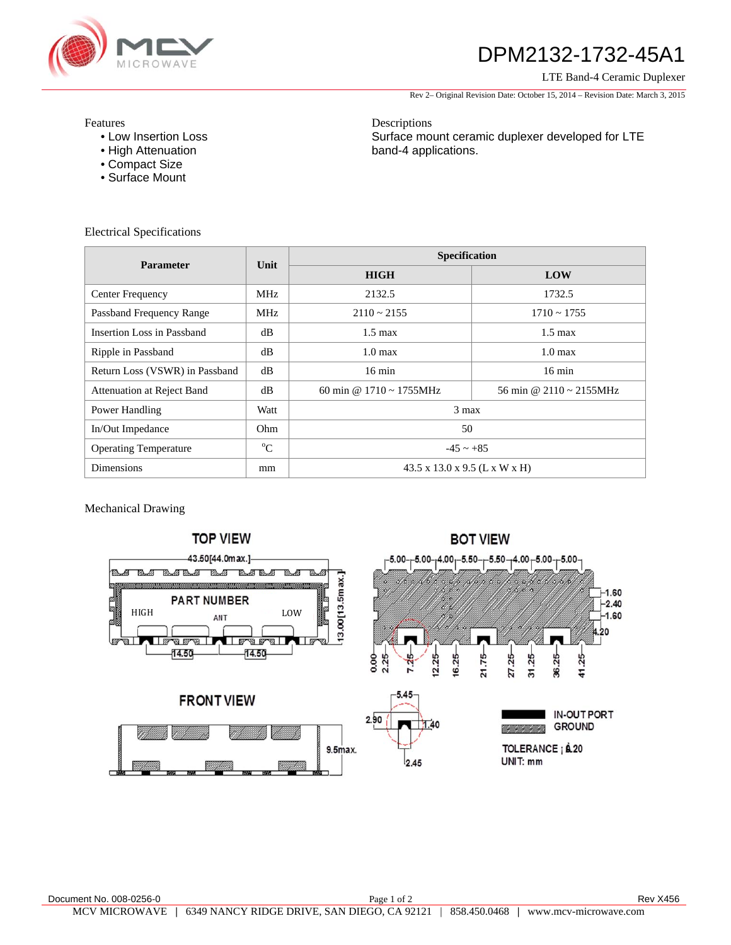

## DPM2132-1732-45A1

LTE Band-4 Ceramic Duplexer

Rev 2– Original Revision Date: October 15, 2014 – Revision Date: March 3, 2015

Features

- Low Insertion Loss
- High Attenuation
- Compact Size
- Surface Mount

Electrical Specifications

Descriptions Surface mount ceramic duplexer developed for LTE band-4 applications.

| <b>Parameter</b>               | Unit        | Specification                             |                              |
|--------------------------------|-------------|-------------------------------------------|------------------------------|
|                                |             | <b>HIGH</b>                               | LOW                          |
| Center Frequency               | MHz         | 2132.5                                    | 1732.5                       |
| Passband Frequency Range       | <b>MHz</b>  | $2110 \approx 2155$                       | $1710 \sim 1755$             |
| Insertion Loss in Passband     | dB          | $1.5 \text{ max}$                         | $1.5 \text{ max}$            |
| Ripple in Passband             | dB          | $1.0 \text{ max}$                         | $1.0 \text{ max}$            |
| Return Loss (VSWR) in Passband | dB          | $16 \text{ min}$                          | $16 \text{ min}$             |
| Attenuation at Reject Band     | dB          | 60 min @ $1710 \approx 1755 \text{MHz}$   | 56 min @ 2110 $\sim$ 2155MHz |
| Power Handling                 | Watt        | $3$ max                                   |                              |
| In/Out Impedance               | Ohm         | 50                                        |                              |
| <b>Operating Temperature</b>   | $\rm ^{o}C$ | $-45 \sim +85$                            |                              |
| <b>Dimensions</b>              | mm          | $43.5 \times 13.0 \times 9.5$ (L x W x H) |                              |

Mechanical Drawing